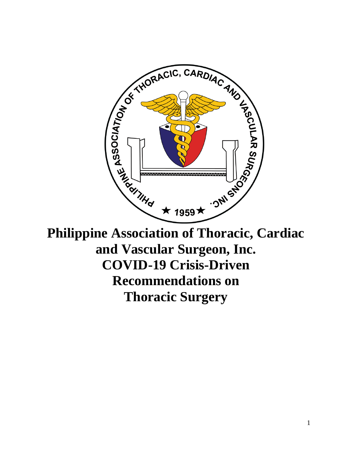

**Philippine Association of Thoracic, Cardiac and Vascular Surgeon, Inc. COVID-19 Crisis-Driven Recommendations on Thoracic Surgery**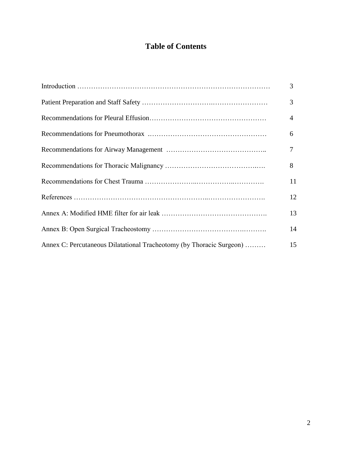# **Table of Contents**

|                                                                      | 3  |
|----------------------------------------------------------------------|----|
|                                                                      | 3  |
|                                                                      | 4  |
|                                                                      | 6  |
|                                                                      | 7  |
|                                                                      | 8  |
|                                                                      | 11 |
|                                                                      | 12 |
|                                                                      | 13 |
|                                                                      | 14 |
| Annex C: Percutaneous Dilatational Tracheotomy (by Thoracic Surgeon) | 15 |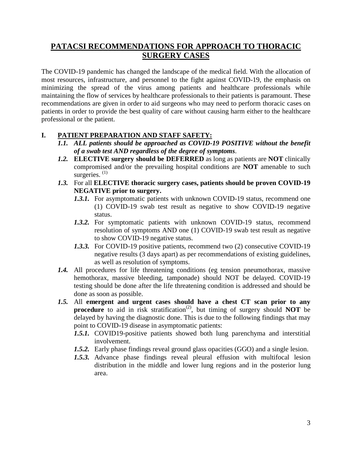## **PATACSI RECOMMENDATIONS FOR APPROACH TO THORACIC SURGERY CASES**

The COVID-19 pandemic has changed the landscape of the medical field. With the allocation of most resources, infrastructure, and personnel to the fight against COVID-19, the emphasis on minimizing the spread of the virus among patients and healthcare professionals while maintaining the flow of services by healthcare professionals to their patients is paramount. These recommendations are given in order to aid surgeons who may need to perform thoracic cases on patients in order to provide the best quality of care without causing harm either to the healthcare professional or the patient.

#### **I. PATIENT PREPARATION AND STAFF SAFETY:**

- *1.1. ALL patients should be approached as COVID-19 POSITIVE without the benefit of a swab test AND regardless of the degree of symptoms*.
- *1.2.* **ELECTIVE surgery should be DEFERRED** as long as patients are **NOT** clinically compromised and/or the prevailing hospital conditions are **NOT** amenable to such surgeries.<sup>(1)</sup>
- *1.3.* For all **ELECTIVE thoracic surgery cases, patients should be proven COVID-19 NEGATIVE prior to surgery.**
	- *1.3.1.* For asymptomatic patients with unknown COVID-19 status, recommend one (1) COVID-19 swab test result as negative to show COVID-19 negative status.
	- *1.3.2.* For symptomatic patients with unknown COVID-19 status, recommend resolution of symptoms AND one (1) COVID-19 swab test result as negative to show COVID-19 negative status.
	- *1.3.3.* For COVID-19 positive patients, recommend two (2) consecutive COVID-19 negative results (3 days apart) as per recommendations of existing guidelines, as well as resolution of symptoms.
- *1.4.* All procedures for life threatening conditions (eg tension pneumothorax, massive hemothorax, massive bleeding, tamponade) should NOT be delayed. COVID-19 testing should be done after the life threatening condition is addressed and should be done as soon as possible.
- *1.5.* All **emergent and urgent cases should have a chest CT scan prior to any** procedure to aid in risk stratification<sup>(2)</sup>, but timing of surgery should **NOT** be delayed by having the diagnostic done. This is due to the following findings that may point to COVID-19 disease in asymptomatic patients:
	- *1.5.1.* COVID19-positive patients showed both lung parenchyma and interstitial involvement.
	- *1.5.2.* Early phase findings reveal ground glass opacities (GGO) and a single lesion.
	- *1.5.3.* Advance phase findings reveal pleural effusion with multifocal lesion distribution in the middle and lower lung regions and in the posterior lung area.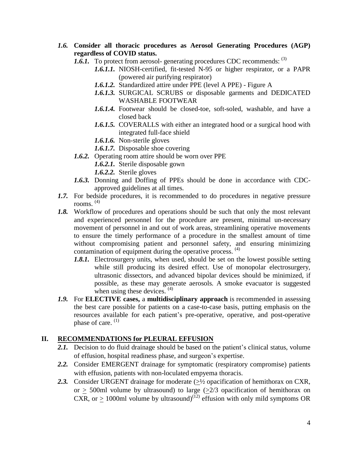- *1.6.* **Consider all thoracic procedures as Aerosol Generating Procedures (AGP) regardless of COVID status.**
	- *1.6.1.* To protect from aerosol- generating procedures CDC recommends: (3)
		- *1.6.1.1.* NIOSH-certified, fit-tested N-95 or higher respirator, or a PAPR (powered air purifying respirator)
		- *1.6.1.2.* Standardized attire under PPE (level A PPE) Figure A
		- *1.6.1.3.* SURGICAL SCRUBS or disposable garments and DEDICATED WASHABLE FOOTWEAR
		- *1.6.1.4.* Footwear should be closed-toe, soft-soled, washable, and have a closed back
		- *1.6.1.5.* COVERALLS with either an integrated hood or a surgical hood with integrated full-face shield
		- *1.6.1.6.* Non-sterile gloves
		- *1.6.1.7.* Disposable shoe covering
	- *1.6.2.* Operating room attire should be worn over PPE
		- *1.6.2.1.* Sterile disposable gown
		- *1.6.2.2.* Sterile gloves
	- *1.6.3.* Donning and Doffing of PPEs should be done in accordance with CDCapproved guidelines at all times.
- *1.7.* For bedside procedures, it is recommended to do procedures in negative pressure rooms. (4)
- *1.8.* Workflow of procedures and operations should be such that only the most relevant and experienced personnel for the procedure are present, minimal un-necessary movement of personnel in and out of work areas, streamlining operative movements to ensure the timely performance of a procedure in the smallest amount of time without compromising patient and personnel safety, and ensuring minimizing contamination of equipment during the operative process.<sup>(4)</sup>
	- *1.8.1.* Electrosurgery units, when used, should be set on the lowest possible setting while still producing its desired effect. Use of monopolar electrosurgery, ultrasonic dissectors, and advanced bipolar devices should be minimized, if possible, as these may generate aerosols. A smoke evacuator is suggested when using these devices.  $(4)$
- *1.9.* For **ELECTIVE cases,** a **multidisciplinary approach** is recommended in assessing the best care possible for patients on a case-to-case basis, putting emphasis on the resources available for each patient's pre-operative, operative, and post-operative phase of care.<sup>(1)</sup>

#### **II. RECOMMENDATIONS for PLEURAL EFFUSION**

- 2.1. Decision to do fluid drainage should be based on the patient's clinical status, volume of effusion, hospital readiness phase, and surgeon's expertise.
- *2.2.* Consider EMERGENT drainage for symptomatic (respiratory compromise) patients with effusion, patients with non-loculated empyema thoracis.
- 2.3. Consider URGENT drainage for moderate  $(\geq 1/2)$  opacification of hemithorax on CXR, or  $\geq$  500ml volume by ultrasound) to large ( $\geq$ 2/3 opacification of hemithorax on CXR, or  $\geq$  1000ml volume by ultrasound)<sup>(12)</sup> effusion with only mild symptoms OR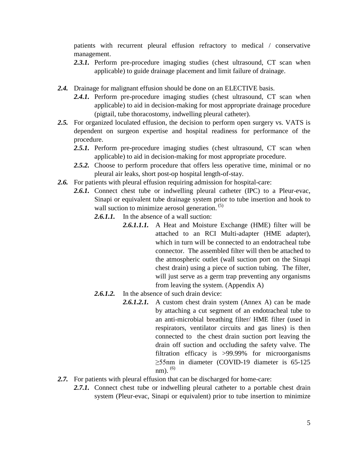patients with recurrent pleural effusion refractory to medical / conservative management.

- 2.3.1. Perform pre-procedure imaging studies (chest ultrasound, CT scan when applicable) to guide drainage placement and limit failure of drainage.
- *2.4.* Drainage for malignant effusion should be done on an ELECTIVE basis.
	- 2.4.1. Perform pre-procedure imaging studies (chest ultrasound, CT scan when applicable) to aid in decision-making for most appropriate drainage procedure (pigtail, tube thoracostomy, indwelling pleural catheter).
- *2.5.* For organized loculated effusion, the decision to perform open surgery vs. VATS is dependent on surgeon expertise and hospital readiness for performance of the procedure.
	- 2.5.1. Perform pre-procedure imaging studies (chest ultrasound, CT scan when applicable) to aid in decision-making for most appropriate procedure.
	- *2.5.2.* Choose to perform procedure that offers less operative time, minimal or no pleural air leaks, short post-op hospital length-of-stay.
- 2.6. For patients with pleural effusion requiring admission for hospital-care:
	- 2.6.1. Connect chest tube or indwelling pleural catheter (IPC) to a Pleur-evac, Sinapi or equivalent tube drainage system prior to tube insertion and hook to wall suction to minimize aerosol generation.<sup>(5)</sup>

2.6.1.1. In the absence of a wall suction:

- *2.6.1.1.1.* A Heat and Moisture Exchange (HME) filter will be attached to an RCI Multi-adapter (HME adapter), which in turn will be connected to an endotracheal tube connector. The assembled filter will then be attached to the atmospheric outlet (wall suction port on the Sinapi chest drain) using a piece of suction tubing. The filter, will just serve as a germ trap preventing any organisms from leaving the system. (Appendix A)
- *2.6.1.2.* In the absence of such drain device:
	- *2.6.1.2.1.* A custom chest drain system (Annex A) can be made by attaching a cut segment of an endotracheal tube to an anti-microbial breathing filter/ HME filter (used in respirators, ventilator circuits and gas lines) is then connected to the chest drain suction port leaving the drain off suction and occluding the safety valve. The filtration efficacy is >99.99% for microorganisms ≥55nm in diameter (COVID-19 diameter is 65-125 nm).  $(6)$
- *2.7.* For patients with pleural effusion that can be discharged for home-care:
	- 2.7.1. Connect chest tube or indwelling pleural catheter to a portable chest drain system (Pleur-evac, Sinapi or equivalent) prior to tube insertion to minimize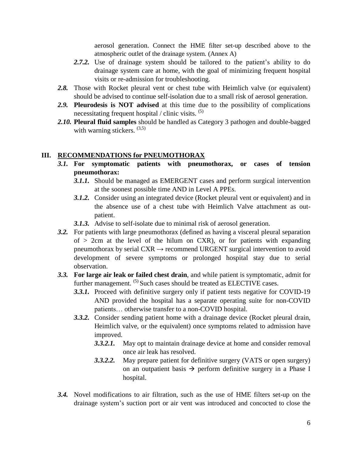aerosol generation. Connect the HME filter set-up described above to the atmospheric outlet of the drainage system. (Annex A)

- *2.7.2.* Use of drainage system should be tailored to the patient's ability to do drainage system care at home, with the goal of minimizing frequent hospital visits or re-admission for troubleshooting.
- 2.8. Those with Rocket pleural vent or chest tube with Heimlich valve (or equivalent) should be advised to continue self-isolation due to a small risk of aerosol generation.
- *2.9.* **Pleurodesis is NOT advised** at this time due to the possibility of complications necessitating frequent hospital / clinic visits.  $(5)$
- *2.10.* **Pleural fluid samples** should be handled as Category 3 pathogen and double-bagged with warning stickers.  $(3,5)$

#### **III. RECOMMENDATIONS for PNEUMOTHORAX**

- *3.1.* **For symptomatic patients with pneumothorax, or cases of tension pneumothorax:**
	- *3.1.1.* Should be managed as EMERGENT cases and perform surgical intervention at the soonest possible time AND in Level A PPEs.
	- *3.1.2.* Consider using an integrated device (Rocket pleural vent or equivalent) and in the absence use of a chest tube with Heimlich Valve attachment as outpatient.
	- *3.1.3.* Advise to self-isolate due to minimal risk of aerosol generation.
- *3.2.* For patients with large pneumothorax (defined as having a visceral pleural separation of  $> 2$ cm at the level of the hilum on CXR), or for patients with expanding pneumothorax by serial  $CXR \rightarrow$  recommend URGENT surgical intervention to avoid development of severe symptoms or prolonged hospital stay due to serial observation.
- *3.3.* **For large air leak or failed chest drain**, and while patient is symptomatic, admit for further management. <sup>(5)</sup> Such cases should be treated as ELECTIVE cases.
	- *3.3.1.* Proceed with definitive surgery only if patient tests negative for COVID-19 AND provided the hospital has a separate operating suite for non-COVID patients… otherwise transfer to a non-COVID hospital.
	- *3.3.2.* Consider sending patient home with a drainage device (Rocket pleural drain, Heimlich valve, or the equivalent) once symptoms related to admission have improved.
		- *3.3.2.1.* May opt to maintain drainage device at home and consider removal once air leak has resolved.
		- *3.3.2.2.* May prepare patient for definitive surgery (VATS or open surgery) on an outpatient basis  $\rightarrow$  perform definitive surgery in a Phase I hospital.
- *3.4.* Novel modifications to air filtration, such as the use of HME filters set-up on the drainage system's suction port or air vent was introduced and concocted to close the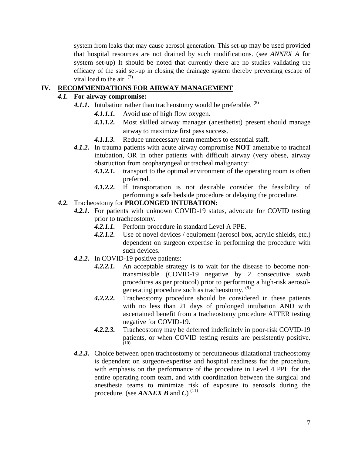system from leaks that may cause aerosol generation. This set-up may be used provided that hospital resources are not drained by such modifications. (see *ANNEX A* for system set-up) It should be noted that currently there are no studies validating the efficacy of the said set-up in closing the drainage system thereby preventing escape of viral load to the air.  $(7)$ 

## **IV. RECOMMENDATIONS FOR AIRWAY MANAGEMENT**

#### *4.1.* **For airway compromise:**

- 4.1.1. Intubation rather than tracheostomy would be preferable. <sup>(8)</sup>
	- *4.1.1.1.* Avoid use of high flow oxygen.
	- *4.1.1.2.* Most skilled airway manager (anesthetist) present should manage airway to maximize first pass success.
	- *4.1.1.3.* Reduce unnecessary team members to essential staff.
- *4.1.2.* In trauma patients with acute airway compromise **NOT** amenable to tracheal intubation, OR in other patients with difficult airway (very obese, airway obstruction from oropharyngeal or tracheal malignancy:
	- 4.1.2.1. transport to the optimal environment of the operating room is often preferred.
	- *4.1.2.2.* If transportation is not desirable consider the feasibility of performing a safe bedside procedure or delaying the procedure.

#### *4.2.* Tracheostomy for **PROLONGED INTUBATION:**

- *4.2.1.* For patients with unknown COVID-19 status, advocate for COVID testing prior to tracheostomy.
	- *4.2.1.1.* Perform procedure in standard Level A PPE.
	- *4.2.1.2.* Use of novel devices / equipment (aerosol box, acrylic shields, etc.) dependent on surgeon expertise in performing the procedure with such devices.
- *4.2.2.* In COVID-19 positive patients:
	- *4.2.2.1.* An acceptable strategy is to wait for the disease to become nontransmissible (COVID-19 negative by 2 consecutive swab procedures as per protocol) prior to performing a high-risk aerosolgenerating procedure such as tracheostomy. (9)
	- *4.2.2.2.* Tracheostomy procedure should be considered in these patients with no less than 21 days of prolonged intubation AND with ascertained benefit from a tracheostomy procedure AFTER testing negative for COVID-19.
	- *4.2.2.3.* Tracheostomy may be deferred indefinitely in poor-risk COVID-19 patients, or when COVID testing results are persistently positive. (10)
- *4.2.3.* Choice between open tracheostomy or percutaneous dilatational tracheostomy is dependent on surgeon-expertise and hospital readiness for the procedure, with emphasis on the performance of the procedure in Level 4 PPE for the entire operating room team, and with coordination between the surgical and anesthesia teams to minimize risk of exposure to aerosols during the procedure. (see *ANNEX B* and *C*) (11)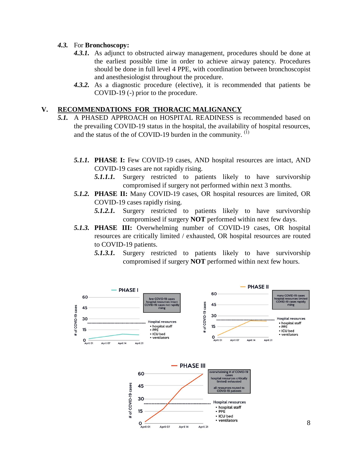#### *4.3.* For **Bronchoscopy:**

- *4.3.1.* As adjunct to obstructed airway management, procedures should be done at the earliest possible time in order to achieve airway patency. Procedures should be done in full level 4 PPE, with coordination between bronchoscopist and anesthesiologist throughout the procedure.
- *4.3.2.* As a diagnostic procedure (elective), it is recommended that patients be COVID-19 (-) prior to the procedure.

#### **V. RECOMMENDATIONS FOR THORACIC MALIGNANCY**

- *5.1.* A PHASED APPROACH on HOSPITAL READINESS is recommended based on the prevailing COVID-19 status in the hospital, the availability of hospital resources, and the status of the of COVID-19 burden in the community.  $<sup>(1)</sup>$ </sup>
	- *5.1.1.* **PHASE I:** Few COVID-19 cases, AND hospital resources are intact, AND COVID-19 cases are not rapidly rising.
		- *5.1.1.1.* Surgery restricted to patients likely to have survivorship compromised if surgery not performed within next 3 months.
	- *5.1.2.* **PHASE II:** Many COVID-19 cases, OR hospital resources are limited, OR COVID-19 cases rapidly rising.
		- *5.1.2.1.* Surgery restricted to patients likely to have survivorship compromised if surgery **NOT** performed within next few days.
	- *5.1.3.* **PHASE III:** Overwhelming number of COVID-19 cases, OR hospital resources are critically limited / exhausted, OR hospital resources are routed to COVID-19 patients.
		- *5.1.3.1.* Surgery restricted to patients likely to have survivorship compromised if surgery **NOT** performed within next few hours.

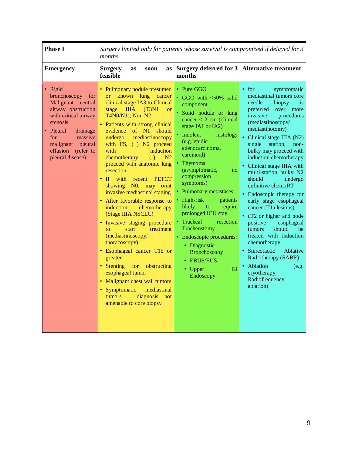| <b>Phase I</b>                                                                                                                                                                                                              | Surgery limited only for patients whose survival is compromised if delayed for 3<br>months                                                                                                                                                                                                                                                                                                                                                                                                                                                                                                                                                                                                                                                                                                                                                                                                                                                           |                                                                                                                                                                                                                                                                                                                                                                                                                                                                                                                                          |                                                                                                                                                                                                                                                                                                                                                                                                                                                                                                                                                                                                                                                                                                                                 |
|-----------------------------------------------------------------------------------------------------------------------------------------------------------------------------------------------------------------------------|------------------------------------------------------------------------------------------------------------------------------------------------------------------------------------------------------------------------------------------------------------------------------------------------------------------------------------------------------------------------------------------------------------------------------------------------------------------------------------------------------------------------------------------------------------------------------------------------------------------------------------------------------------------------------------------------------------------------------------------------------------------------------------------------------------------------------------------------------------------------------------------------------------------------------------------------------|------------------------------------------------------------------------------------------------------------------------------------------------------------------------------------------------------------------------------------------------------------------------------------------------------------------------------------------------------------------------------------------------------------------------------------------------------------------------------------------------------------------------------------------|---------------------------------------------------------------------------------------------------------------------------------------------------------------------------------------------------------------------------------------------------------------------------------------------------------------------------------------------------------------------------------------------------------------------------------------------------------------------------------------------------------------------------------------------------------------------------------------------------------------------------------------------------------------------------------------------------------------------------------|
| <b>Emergency</b>                                                                                                                                                                                                            | <b>Surgery</b><br>as<br>soon<br>as<br>feasible                                                                                                                                                                                                                                                                                                                                                                                                                                                                                                                                                                                                                                                                                                                                                                                                                                                                                                       | Surgery deferred for 3<br>months                                                                                                                                                                                                                                                                                                                                                                                                                                                                                                         | <b>Alternative treatment</b>                                                                                                                                                                                                                                                                                                                                                                                                                                                                                                                                                                                                                                                                                                    |
| • Rigid<br>bronchoscopy<br>for<br>Malignant central<br>airway obstruction<br>with critical airway<br>stenosis<br>Pleural<br>drainage<br>massive<br>for<br>pleural<br>malignant<br>effusion<br>(refer to<br>pleural disease) | • Pulmonary nodule presumed<br>lung<br>known<br>$\alpha$<br>cancer<br>clinical stage IA3 to Clinical<br><b>IIIA</b><br>(T3N1)<br>stage<br><b>or</b><br>T4N0/N1); Non N2<br>• Patients with strong clinical<br>evidence of N1<br>should<br>mediastinoscopy<br>undergo<br>with FS, $(+)$ N2 proceed<br>with<br>induction<br>chemotherapy;<br>$(-)$<br>N <sub>2</sub><br>proceed with anatomic lung<br>resection<br>$\mathbf{H}$<br>with<br><b>PETCT</b><br>recent<br>NO, may omit<br>showing<br>invasive mediastinal staging<br>• After favorable response to<br>chemotherapy<br>induction<br>(Stage IIIA NSCLC)<br>· Invasive staging procedure<br>start<br>treatment<br>to<br>(mediastinoscopy,<br>thoracoscopy)<br>Esophageal cancer T1b or<br>greater<br>• Stenting<br>for<br>obstructing<br>esophageal tumor<br>Malignant chest wall tumors<br>$\bullet$<br>Symptomatic<br>mediastinal<br>$tumors - diagnostis$<br>not<br>amenable to core biopsy | • Pure GGO<br>• GGO with <50% solid<br>component<br>· Solid nodule or lung<br>cancer $<$ 2 cm (clinical)<br>stage IA1 or IA2)<br>· Indolent<br>histology<br>(e.g.lepidic<br>adenocarcinoma,<br>carcinoid)<br>• Thymoma<br>(asymptomatic,<br>no<br>compression<br>symptoms)<br>• Pulmonary metastases<br>• High-risk<br>patients<br>likely<br>require<br>to<br>prolonged ICU stay<br>Tracheal<br>resection<br>Tracheostomy<br>• Endoscopic procedures:<br>• Diagnostic<br>Bronchoscopy<br>• EBUS/EUS<br><b>GI</b><br>• Upper<br>Endoscopy | • for<br>symptomatic<br>mediastinal tumors core<br>needle<br>biopsy<br>is.<br>preferred<br>over<br>more<br>invasive<br>procedures<br>(mediastinoscopy/<br>mediastinotomy)<br>• Clinical stage IIIA (N2)<br>single<br>station.<br>non-<br>bulky may proceed with<br>induction chemotherapy<br>• Clinical stage IIIA with<br>multi-station bulky N2<br>should<br>undergo<br>definitive chemoRT<br>• Endoscopic therapy for<br>early stage esophageal<br>cancer (T1a lesions)<br>• cT2 or higher and node<br>positive<br>esophageal<br>should<br>tumors<br>be<br>treated with induction<br>chemotherapy<br>• Stereotactic<br>Ablative<br>Radiotherapy (SABR)<br>• Ablation<br>(e.g.<br>cryotherapy,<br>Radiofrequency<br>ablation) |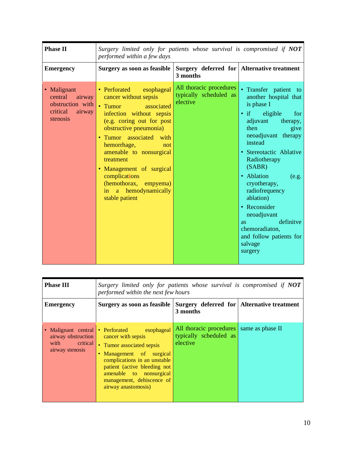| <b>Phase II</b>                                                                        | Surgery limited only for patients whose survival is compromised if NOT<br>performed within a few days                                                                                                                                                                                                                                                                 |                                                               |                                                                                                                                                                                                                                                                                                                                                                                                                               |
|----------------------------------------------------------------------------------------|-----------------------------------------------------------------------------------------------------------------------------------------------------------------------------------------------------------------------------------------------------------------------------------------------------------------------------------------------------------------------|---------------------------------------------------------------|-------------------------------------------------------------------------------------------------------------------------------------------------------------------------------------------------------------------------------------------------------------------------------------------------------------------------------------------------------------------------------------------------------------------------------|
| <b>Emergency</b>                                                                       | Surgery as soon as feasible                                                                                                                                                                                                                                                                                                                                           | Surgery deferred for Alternative treatment<br>3 months        |                                                                                                                                                                                                                                                                                                                                                                                                                               |
| • Malignant<br>central<br>airway<br>obstruction with<br>critical<br>airway<br>stenosis | • Perforated esophageal<br>cancer without sepsis<br>• Tumor<br>associated<br>infection without sepsis<br>(e.g. coring out for post<br>obstructive pneumonia)<br>• Tumor associated with<br>hemorrhage,<br>not<br>amenable to nonsurgical<br>treatment<br>• Management of surgical<br>complications<br>(hemothorax, empyema)<br>in a hemodynamically<br>stable patient | All thoracic procedures<br>typically scheduled as<br>elective | • Transfer patient<br>to<br>another hospital that<br>is phase I<br>$\bullet$ if<br>eligible<br>for<br>adjuvant<br>therapy,<br>then<br>give<br>neoadjuvant therapy<br>instead<br>• Stereotactic Ablative<br>Radiotherapy<br>(SABR)<br>• Ablation<br>(e.g.<br>cryotherapy,<br>radiofrequency<br>ablation)<br>• Reconsider<br>neoadjuvant<br>definitye<br>as.<br>chemoradiaton,<br>and follow patients for<br>salvage<br>surgery |

| <b>Phase III</b>                                                                 | Surgery limited only for patients whose survival is compromised if NOT<br>performed within the next few hours                                                                                                                                       |                                                                                |  |
|----------------------------------------------------------------------------------|-----------------------------------------------------------------------------------------------------------------------------------------------------------------------------------------------------------------------------------------------------|--------------------------------------------------------------------------------|--|
| <b>Emergency</b>                                                                 | Surgery as soon as feasible                                                                                                                                                                                                                         | Surgery deferred for Alternative treatment<br>3 months                         |  |
| • Malignant central<br>airway obstruction<br>critical<br>with<br>airway stenosis | • Perforated esophageal<br>cancer with sepsis<br>• Tumor associated sepsis<br>Management of surgical<br>complications in an unstable<br>patient (active bleeding not<br>amenable to nonsurgical<br>management, dehiscence of<br>airway anastomosis) | All thoracic procedures same as phase II<br>typically scheduled as<br>elective |  |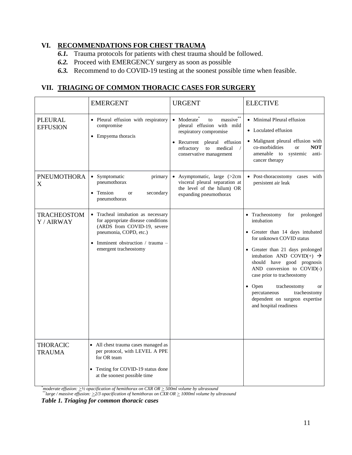## **VI. RECOMMENDATIONS FOR CHEST TRAUMA**

- *6.1.* Trauma protocols for patients with chest trauma should be followed.
- *6.2.* Proceed with EMERGENCY surgery as soon as possible
- *6.3.* Recommend to do COVID-19 testing at the soonest possible time when feasible.

## **VII. TRIAGING OF COMMON THORACIC CASES FOR SURGERY**

|                                   | <b>EMERGENT</b>                                                                                                                                                                               | <b>URGENT</b>                                                                                                                                                                                                           | <b>ELECTIVE</b>                                                                                                                                                                                                                                                                                                                                                                                                            |
|-----------------------------------|-----------------------------------------------------------------------------------------------------------------------------------------------------------------------------------------------|-------------------------------------------------------------------------------------------------------------------------------------------------------------------------------------------------------------------------|----------------------------------------------------------------------------------------------------------------------------------------------------------------------------------------------------------------------------------------------------------------------------------------------------------------------------------------------------------------------------------------------------------------------------|
| <b>PLEURAL</b><br><b>EFFUSION</b> | · Pleural effusion with respiratory<br>compromise<br>• Empyema thoracis                                                                                                                       | $massive^{**}$<br>$\bullet$ Moderate <sup>*</sup><br>to<br>pleural effusion with mild<br>respiratory compromise<br>· Recurrent pleural effusion<br>medical<br>refractory<br>to<br>$\sqrt{2}$<br>conservative management | • Minimal Pleural effusion<br>• Loculated effusion<br>• Malignant pleural effusion with<br>co-morbidities<br><b>NOT</b><br><b>or</b><br>amenable to<br>systemic<br>anti-<br>cancer therapy                                                                                                                                                                                                                                 |
| <b>PNEUMOTHORA</b><br>X           | • Symptomatic<br>primary<br>pneumothorax<br>Tension<br>secondary<br><b>or</b><br>pneumothorax                                                                                                 | • Asymptomatic, large $(>2cm)$<br>visceral pleural separation at<br>the level of the hilum) OR<br>expanding pneumothorax                                                                                                | · Post-thoracostomy cases with<br>persistent air leak                                                                                                                                                                                                                                                                                                                                                                      |
| <b>TRACHEOSTOM</b><br>Y / AIRWAY  | • Tracheal intubation as necessary<br>for appropriate disease conditions<br>(ARDS from COVID-19, severe<br>pneumonia, COPD, etc.)<br>Imminent obstruction / trauma –<br>emergent tracheostomy |                                                                                                                                                                                                                         | • Tracheostomy<br>for<br>prolonged<br>intubation<br>• Greater than 14 days intubated<br>for unknown COVID status<br>• Greater than 21 days prolonged<br>intubation AND COVID(+) $\rightarrow$<br>should have good prognosis<br>AND conversion to COVID(-)<br>case prior to tracheostomy<br>• Open<br>tracheostomy<br><b>or</b><br>percutaneous<br>tracheostomy<br>dependent on surgeon expertise<br>and hospital readiness |
| <b>THORACIC</b><br><b>TRAUMA</b>  | • All chest trauma cases managed as<br>per protocol, with LEVEL A PPE<br>for OR team<br>Testing for COVID-19 status done<br>at the soonest possible time                                      |                                                                                                                                                                                                                         |                                                                                                                                                                                                                                                                                                                                                                                                                            |

*\*moderate effusion: >½ opacification of hemithorax on CXR OR > 500ml volume by ultrasound*

*\*\*large / massive effusion: >2/3 opacification of hemithorax on CXR OR > 1000ml volume by ultrasound*

*Table 1. Triaging for common thoracic cases*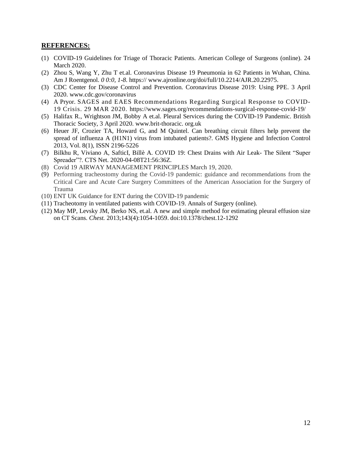#### **REFERENCES:**

- (1) COVID-19 Guidelines for Triage of Thoracic Patients. American College of Surgeons (online). 24 March 2020.
- (2) Zhou S, Wang Y, Zhu T et.al. Coronavirus Disease 19 Pneumonia in 62 Patients in Wuhan, China. Am J Roentgenol. *0 0:0, 1-8.* https:// [www.ajronline.org/doi/full/10.2214/AJR.20.22975](http://www.ajronline.org/doi/full/10.2214/AJR.20.22975)*.*
- (3) CDC Center for Disease Control and Prevention. Coronavirus Disease 2019: Using PPE. 3 April 2020. www.cdc.gov/coronavirus
- (4) A Pryor. SAGES and EAES Recommendations Regarding Surgical Response to COVID-19 Crisis. 29 MAR 2020. <https://www.sages.org/recommendations-surgical-response-covid-19/>
- (5) Halifax R., Wrightson JM, Bobby A et.al. Pleural Services during the COVID-19 Pandemic. British Thoracic Society, 3 April 2020. www.brit-thoracic. org.uk
- (6) Heuer JF, Crozier TA, Howard G, and M Quintel. Can breathing circuit filters help prevent the spread of influenza A (H1N1) virus from intubated patients?. GMS Hygiene and Infection Control 2013, Vol. 8(1), ISSN 2196-5226
- (7) Bilkhu R, Viviano A, SafticI, Billè A. COVID 19: Chest Drains with Air Leak- The Silent "Super Spreader"?. CTS Net. 2020-04-08T21:56:36Z.
- (8) Covid 19 AIRWAY MANAGEMENT PRINCIPLES March 19, 2020.
- (9) Performing tracheostomy during the Covid-19 pandemic: guidance and recommendations from the Critical Care and Acute Care Surgery Committees of the American Association for the Surgery of Trauma
- (10) ENT UK Guidance for ENT during the COVID-19 pandemic
- (11) Tracheotomy in ventilated patients with COVID-19. Annals of Surgery (online).
- (12) May MP, Levsky JM, Berko NS, et.al. A new and simple method for estimating pleural effusion size on CT Scans. *Chest.* 2013;143(4):1054-1059. doi:10.1378/chest.12-1292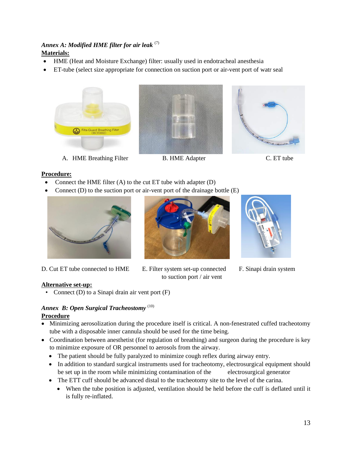## *Annex A: Modified HME filter for air leak* (7) **Materials:**

- HME (Heat and Moisture Exchange) filter: usually used in endotracheal anesthesia
- ET-tube (select size appropriate for connection on suction port or air-vent port of watr seal





A. HME Breathing Filter B. HME Adapter C. ET tube



#### **Procedure:**

- Connect the HME filter (A) to the cut ET tube with adapter (D)
- Connect  $(D)$  to the suction port or air-vent port of the drainage bottle  $(E)$



D. Cut ET tube connected to HME E. Filter system set-up connected F. Sinapi drain system



to suction port / air vent



#### **Alternative set-up:**

• Connect (D) to a Sinapi drain air vent port (F)

#### *Annex B: Open Surgical Tracheostomy* (10) **Procedure**

- Minimizing aerosolization during the procedure itself is critical. A non-fenestrated cuffed tracheotomy tube with a disposable inner cannula should be used for the time being.
- Coordination between anesthetist (for regulation of breathing) and surgeon during the procedure is key to minimize exposure of OR personnel to aerosols from the airway.
	- The patient should be fully paralyzed to minimize cough reflex during airway entry.
	- In addition to standard surgical instruments used for tracheotomy, electrosurgical equipment should be set up in the room while minimizing contamination of the electrosurgical generator
	- The ETT cuff should be advanced distal to the tracheotomy site to the level of the carina.
		- When the tube position is adjusted, ventilation should be held before the cuff is deflated until it is fully re-inflated.